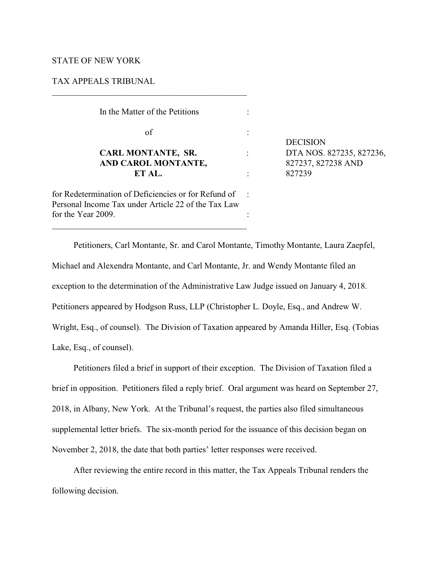# STATE OF NEW YORK

# TAX APPEALS TRIBUNAL

\_\_\_\_\_\_\_\_\_\_\_\_\_\_\_\_\_\_\_\_\_\_\_\_\_\_\_\_\_\_\_\_\_\_\_\_\_\_\_\_\_\_\_\_\_

| In the Matter of the Petitions                                                                                                    |  |                                                          |
|-----------------------------------------------------------------------------------------------------------------------------------|--|----------------------------------------------------------|
| of                                                                                                                                |  | <b>DECISION</b>                                          |
| <b>CARL MONTANTE, SR.</b><br>AND CAROL MONTANTE,<br>ET AL.                                                                        |  | DTA NOS. 827235, 827236,<br>827237, 827238 AND<br>827239 |
| for Redetermination of Deficiencies or for Refund of<br>Personal Income Tax under Article 22 of the Tax Law<br>for the Year 2009. |  |                                                          |

Petitioners, Carl Montante, Sr. and Carol Montante, Timothy Montante, Laura Zaepfel, Michael and Alexendra Montante, and Carl Montante, Jr. and Wendy Montante filed an exception to the determination of the Administrative Law Judge issued on January 4, 2018. Petitioners appeared by Hodgson Russ, LLP (Christopher L. Doyle, Esq., and Andrew W. Wright, Esq., of counsel). The Division of Taxation appeared by Amanda Hiller, Esq. (Tobias Lake, Esq., of counsel).

Petitioners filed a brief in support of their exception. The Division of Taxation filed a brief in opposition. Petitioners filed a reply brief. Oral argument was heard on September 27, 2018, in Albany, New York. At the Tribunal's request, the parties also filed simultaneous supplemental letter briefs. The six-month period for the issuance of this decision began on November 2, 2018, the date that both parties' letter responses were received.

After reviewing the entire record in this matter, the Tax Appeals Tribunal renders the following decision.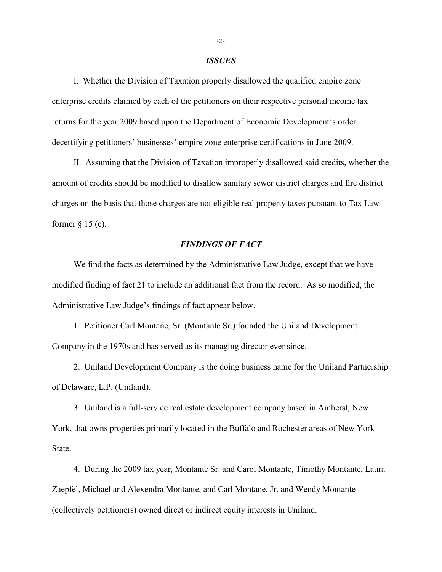### *ISSUES*

I. Whether the Division of Taxation properly disallowed the qualified empire zone enterprise credits claimed by each of the petitioners on their respective personal income tax returns for the year 2009 based upon the Department of Economic Development's order decertifying petitioners' businesses' empire zone enterprise certifications in June 2009.

II. Assuming that the Division of Taxation improperly disallowed said credits, whether the amount of credits should be modified to disallow sanitary sewer district charges and fire district charges on the basis that those charges are not eligible real property taxes pursuant to Tax Law former  $\S$  15 (e).

# *FINDINGS OF FACT*

We find the facts as determined by the Administrative Law Judge, except that we have modified finding of fact 21 to include an additional fact from the record. As so modified, the Administrative Law Judge's findings of fact appear below.

1. Petitioner Carl Montane, Sr. (Montante Sr.) founded the Uniland Development Company in the 1970s and has served as its managing director ever since.

2. Uniland Development Company is the doing business name for the Uniland Partnership of Delaware, L.P. (Uniland).

3. Uniland is a full-service real estate development company based in Amherst, New York, that owns properties primarily located in the Buffalo and Rochester areas of New York State.

4. During the 2009 tax year, Montante Sr. and Carol Montante, Timothy Montante, Laura Zaepfel, Michael and Alexendra Montante, and Carl Montane, Jr. and Wendy Montante (collectively petitioners) owned direct or indirect equity interests in Uniland.

-2-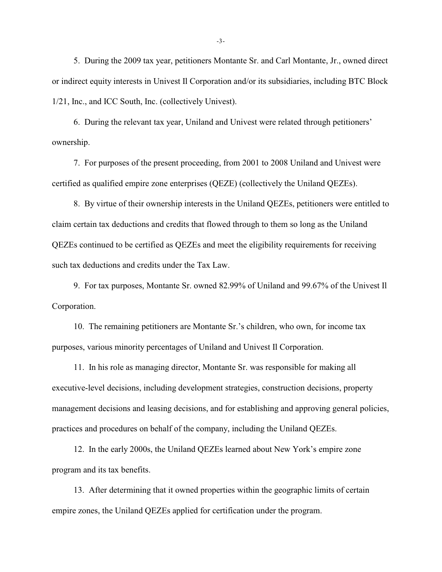5. During the 2009 tax year, petitioners Montante Sr. and Carl Montante, Jr., owned direct or indirect equity interests in Univest Il Corporation and/or its subsidiaries, including BTC Block 1/21, Inc., and ICC South, Inc. (collectively Univest).

6. During the relevant tax year, Uniland and Univest were related through petitioners' ownership.

7. For purposes of the present proceeding, from 2001 to 2008 Uniland and Univest were certified as qualified empire zone enterprises (QEZE) (collectively the Uniland QEZEs).

8. By virtue of their ownership interests in the Uniland QEZEs, petitioners were entitled to claim certain tax deductions and credits that flowed through to them so long as the Uniland QEZEs continued to be certified as QEZEs and meet the eligibility requirements for receiving such tax deductions and credits under the Tax Law.

9. For tax purposes, Montante Sr. owned 82.99% of Uniland and 99.67% of the Univest Il Corporation.

10. The remaining petitioners are Montante Sr.'s children, who own, for income tax purposes, various minority percentages of Uniland and Univest Il Corporation.

11. In his role as managing director, Montante Sr. was responsible for making all executive-level decisions, including development strategies, construction decisions, property management decisions and leasing decisions, and for establishing and approving general policies, practices and procedures on behalf of the company, including the Uniland QEZEs.

12. In the early 2000s, the Uniland QEZEs learned about New York's empire zone program and its tax benefits.

13. After determining that it owned properties within the geographic limits of certain empire zones, the Uniland QEZEs applied for certification under the program.

-3-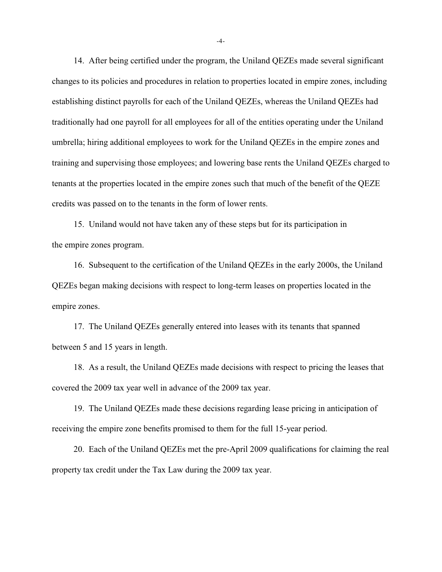14. After being certified under the program, the Uniland QEZEs made several significant changes to its policies and procedures in relation to properties located in empire zones, including establishing distinct payrolls for each of the Uniland QEZEs, whereas the Uniland QEZEs had traditionally had one payroll for all employees for all of the entities operating under the Uniland umbrella; hiring additional employees to work for the Uniland QEZEs in the empire zones and training and supervising those employees; and lowering base rents the Uniland QEZEs charged to tenants at the properties located in the empire zones such that much of the benefit of the QEZE credits was passed on to the tenants in the form of lower rents.

15. Uniland would not have taken any of these steps but for its participation in the empire zones program.

16. Subsequent to the certification of the Uniland QEZEs in the early 2000s, the Uniland QEZEs began making decisions with respect to long-term leases on properties located in the empire zones.

17. The Uniland QEZEs generally entered into leases with its tenants that spanned between 5 and 15 years in length.

18. As a result, the Uniland QEZEs made decisions with respect to pricing the leases that covered the 2009 tax year well in advance of the 2009 tax year.

19. The Uniland QEZEs made these decisions regarding lease pricing in anticipation of receiving the empire zone benefits promised to them for the full 15-year period.

20. Each of the Uniland QEZEs met the pre-April 2009 qualifications for claiming the real property tax credit under the Tax Law during the 2009 tax year.

-4-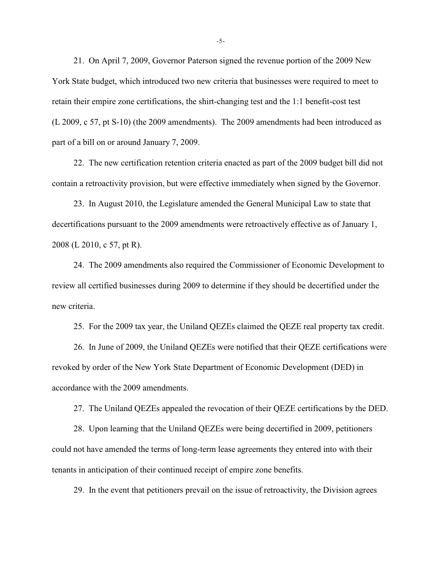21. On April 7, 2009, Governor Paterson signed the revenue portion of the 2009 New York State budget, which introduced two new criteria that businesses were required to meet to retain their empire zone certifications, the shirt-changing test and the 1:1 benefit-cost test (L 2009, c 57, pt S-10) (the 2009 amendments). The 2009 amendments had been introduced as part of a bill on or around January 7, 2009.

22. The new certification retention criteria enacted as part of the 2009 budget bill did not contain a retroactivity provision, but were effective immediately when signed by the Governor.

23. In August 2010, the Legislature amended the General Municipal Law to state that decertifications pursuant to the 2009 amendments were retroactively effective as of January 1, 2008 (L 2010, c 57, pt R).

24. The 2009 amendments also required the Commissioner of Economic Development to review all certified businesses during 2009 to determine if they should be decertified under the new criteria.

25. For the 2009 tax year, the Uniland QEZEs claimed the QEZE real property tax credit.

26. In June of 2009, the Uniland QEZEs were notified that their QEZE certifications were revoked by order of the New York State Department of Economic Development (DED) in accordance with the 2009 amendments.

27. The Uniland QEZEs appealed the revocation of their QEZE certifications by the DED.

28. Upon learning that the Uniland QEZEs were being decertified in 2009, petitioners could not have amended the terms of long-term lease agreements they entered into with their tenants in anticipation of their continued receipt of empire zone benefits.

29. In the event that petitioners prevail on the issue of retroactivity, the Division agrees

-5-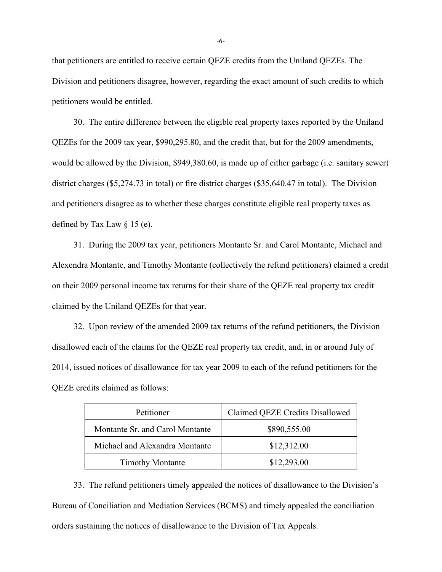that petitioners are entitled to receive certain QEZE credits from the Uniland QEZEs. The Division and petitioners disagree, however, regarding the exact amount of such credits to which petitioners would be entitled.

30. The entire difference between the eligible real property taxes reported by the Uniland QEZEs for the 2009 tax year, \$990,295.80, and the credit that, but for the 2009 amendments, would be allowed by the Division, \$949,380.60, is made up of either garbage (i.e. sanitary sewer) district charges (\$5,274.73 in total) or fire district charges (\$35,640.47 in total). The Division and petitioners disagree as to whether these charges constitute eligible real property taxes as defined by Tax Law § 15 (e).

31. During the 2009 tax year, petitioners Montante Sr. and Carol Montante, Michael and Alexendra Montante, and Timothy Montante (collectively the refund petitioners) claimed a credit on their 2009 personal income tax returns for their share of the QEZE real property tax credit claimed by the Uniland QEZEs for that year.

32. Upon review of the amended 2009 tax returns of the refund petitioners, the Division disallowed each of the claims for the QEZE real property tax credit, and, in or around July of 2014, issued notices of disallowance for tax year 2009 to each of the refund petitioners for the QEZE credits claimed as follows:

| Petitioner                      | Claimed QEZE Credits Disallowed |
|---------------------------------|---------------------------------|
| Montante Sr. and Carol Montante | \$890,555.00                    |
| Michael and Alexandra Montante  | \$12,312.00                     |
| <b>Timothy Montante</b>         | \$12,293.00                     |

33. The refund petitioners timely appealed the notices of disallowance to the Division's Bureau of Conciliation and Mediation Services (BCMS) and timely appealed the conciliation orders sustaining the notices of disallowance to the Division of Tax Appeals.

-6-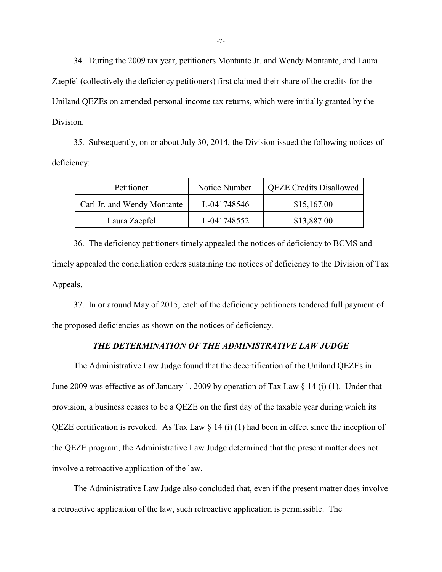34. During the 2009 tax year, petitioners Montante Jr. and Wendy Montante, and Laura Zaepfel (collectively the deficiency petitioners) first claimed their share of the credits for the Uniland QEZEs on amended personal income tax returns, which were initially granted by the Division.

35. Subsequently, on or about July 30, 2014, the Division issued the following notices of deficiency:

| Petitioner                  | Notice Number | <b>QEZE Credits Disallowed</b> |
|-----------------------------|---------------|--------------------------------|
| Carl Jr. and Wendy Montante | L-041748546   | \$15,167.00                    |
| Laura Zaepfel               | L-041748552   | \$13,887.00                    |

36. The deficiency petitioners timely appealed the notices of deficiency to BCMS and timely appealed the conciliation orders sustaining the notices of deficiency to the Division of Tax Appeals.

37. In or around May of 2015, each of the deficiency petitioners tendered full payment of the proposed deficiencies as shown on the notices of deficiency.

# *THE DETERMINATION OF THE ADMINISTRATIVE LAW JUDGE*

The Administrative Law Judge found that the decertification of the Uniland QEZEs in June 2009 was effective as of January 1, 2009 by operation of Tax Law § 14 (i) (1). Under that provision, a business ceases to be a QEZE on the first day of the taxable year during which its QEZE certification is revoked. As Tax Law  $\S$  14 (i) (1) had been in effect since the inception of the QEZE program, the Administrative Law Judge determined that the present matter does not involve a retroactive application of the law.

The Administrative Law Judge also concluded that, even if the present matter does involve a retroactive application of the law, such retroactive application is permissible. The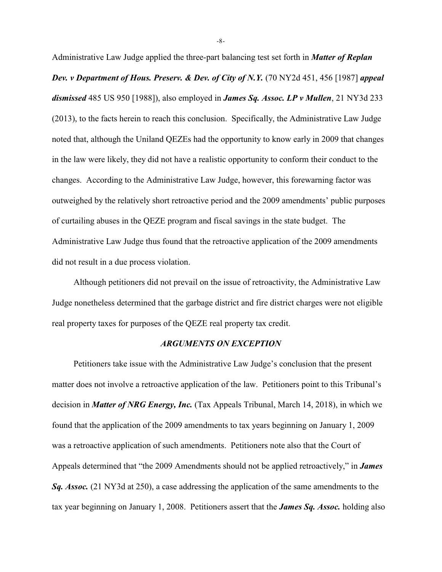Administrative Law Judge applied the three-part balancing test set forth in *Matter of Replan Dev. v Department of Hous. Preserv. & Dev. of City of N.Y.* (70 NY2d 451, 456 [1987] *appeal dismissed* 485 US 950 [1988]), also employed in *James Sq. Assoc. LP v Mullen*, 21 NY3d 233 (2013), to the facts herein to reach this conclusion. Specifically, the Administrative Law Judge noted that, although the Uniland QEZEs had the opportunity to know early in 2009 that changes in the law were likely, they did not have a realistic opportunity to conform their conduct to the changes. According to the Administrative Law Judge, however, this forewarning factor was outweighed by the relatively short retroactive period and the 2009 amendments' public purposes of curtailing abuses in the QEZE program and fiscal savings in the state budget. The Administrative Law Judge thus found that the retroactive application of the 2009 amendments did not result in a due process violation.

Although petitioners did not prevail on the issue of retroactivity, the Administrative Law Judge nonetheless determined that the garbage district and fire district charges were not eligible real property taxes for purposes of the QEZE real property tax credit.

### *ARGUMENTS ON EXCEPTION*

Petitioners take issue with the Administrative Law Judge's conclusion that the present matter does not involve a retroactive application of the law. Petitioners point to this Tribunal's decision in *Matter of NRG Energy, Inc.* (Tax Appeals Tribunal, March 14, 2018), in which we found that the application of the 2009 amendments to tax years beginning on January 1, 2009 was a retroactive application of such amendments. Petitioners note also that the Court of Appeals determined that "the 2009 Amendments should not be applied retroactively," in *James Sq. Assoc.* (21 NY3d at 250), a case addressing the application of the same amendments to the tax year beginning on January 1, 2008. Petitioners assert that the *James Sq. Assoc.* holding also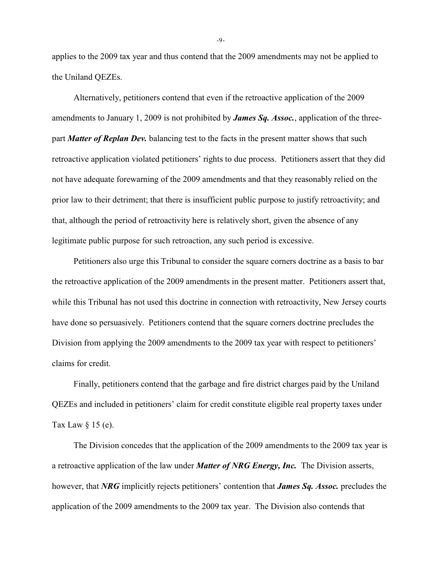applies to the 2009 tax year and thus contend that the 2009 amendments may not be applied to the Uniland QEZEs.

Alternatively, petitioners contend that even if the retroactive application of the 2009 amendments to January 1, 2009 is not prohibited by *James Sq. Assoc.*, application of the threepart *Matter of Replan Dev.* balancing test to the facts in the present matter shows that such retroactive application violated petitioners' rights to due process. Petitioners assert that they did not have adequate forewarning of the 2009 amendments and that they reasonably relied on the prior law to their detriment; that there is insufficient public purpose to justify retroactivity; and that, although the period of retroactivity here is relatively short, given the absence of any legitimate public purpose for such retroaction, any such period is excessive.

Petitioners also urge this Tribunal to consider the square corners doctrine as a basis to bar the retroactive application of the 2009 amendments in the present matter. Petitioners assert that, while this Tribunal has not used this doctrine in connection with retroactivity, New Jersey courts have done so persuasively. Petitioners contend that the square corners doctrine precludes the Division from applying the 2009 amendments to the 2009 tax year with respect to petitioners' claims for credit.

Finally, petitioners contend that the garbage and fire district charges paid by the Uniland QEZEs and included in petitioners' claim for credit constitute eligible real property taxes under Tax Law  $\S$  15 (e).

The Division concedes that the application of the 2009 amendments to the 2009 tax year is a retroactive application of the law under *Matter of NRG Energy, Inc.* The Division asserts, however, that *NRG* implicitly rejects petitioners' contention that *James Sq. Assoc.* precludes the application of the 2009 amendments to the 2009 tax year. The Division also contends that

-9-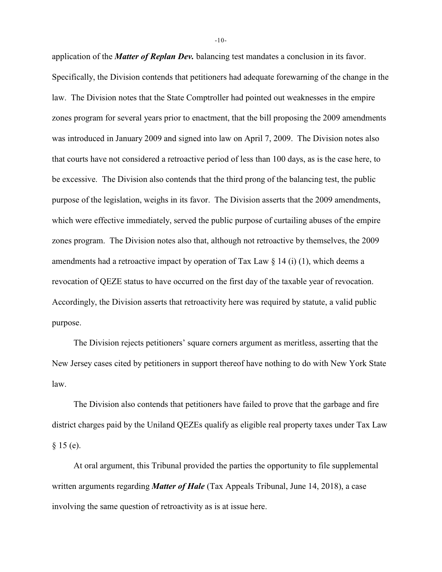application of the *Matter of Replan Dev.* balancing test mandates a conclusion in its favor. Specifically, the Division contends that petitioners had adequate forewarning of the change in the law. The Division notes that the State Comptroller had pointed out weaknesses in the empire zones program for several years prior to enactment, that the bill proposing the 2009 amendments was introduced in January 2009 and signed into law on April 7, 2009. The Division notes also that courts have not considered a retroactive period of less than 100 days, as is the case here, to be excessive. The Division also contends that the third prong of the balancing test, the public purpose of the legislation, weighs in its favor. The Division asserts that the 2009 amendments, which were effective immediately, served the public purpose of curtailing abuses of the empire zones program. The Division notes also that, although not retroactive by themselves, the 2009 amendments had a retroactive impact by operation of Tax Law  $\S 14$  (i) (1), which deems a revocation of QEZE status to have occurred on the first day of the taxable year of revocation. Accordingly, the Division asserts that retroactivity here was required by statute, a valid public purpose.

The Division rejects petitioners' square corners argument as meritless, asserting that the New Jersey cases cited by petitioners in support thereof have nothing to do with New York State law.

The Division also contends that petitioners have failed to prove that the garbage and fire district charges paid by the Uniland QEZEs qualify as eligible real property taxes under Tax Law  $§ 15 (e).$ 

At oral argument, this Tribunal provided the parties the opportunity to file supplemental written arguments regarding *Matter of Hale* (Tax Appeals Tribunal, June 14, 2018), a case involving the same question of retroactivity as is at issue here.

-10-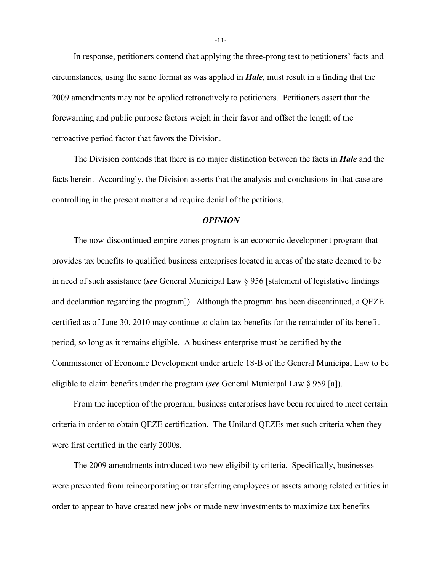In response, petitioners contend that applying the three-prong test to petitioners' facts and circumstances, using the same format as was applied in *Hale*, must result in a finding that the 2009 amendments may not be applied retroactively to petitioners. Petitioners assert that the forewarning and public purpose factors weigh in their favor and offset the length of the retroactive period factor that favors the Division.

The Division contends that there is no major distinction between the facts in *Hale* and the facts herein. Accordingly, the Division asserts that the analysis and conclusions in that case are controlling in the present matter and require denial of the petitions.

### *OPINION*

The now-discontinued empire zones program is an economic development program that provides tax benefits to qualified business enterprises located in areas of the state deemed to be in need of such assistance (*see* General Municipal Law § 956 [statement of legislative findings and declaration regarding the program]). Although the program has been discontinued, a QEZE certified as of June 30, 2010 may continue to claim tax benefits for the remainder of its benefit period, so long as it remains eligible. A business enterprise must be certified by the Commissioner of Economic Development under article 18-B of the General Municipal Law to be eligible to claim benefits under the program (*see* General Municipal Law § 959 [a]).

From the inception of the program, business enterprises have been required to meet certain criteria in order to obtain QEZE certification. The Uniland QEZEs met such criteria when they were first certified in the early 2000s.

The 2009 amendments introduced two new eligibility criteria. Specifically, businesses were prevented from reincorporating or transferring employees or assets among related entities in order to appear to have created new jobs or made new investments to maximize tax benefits

-11-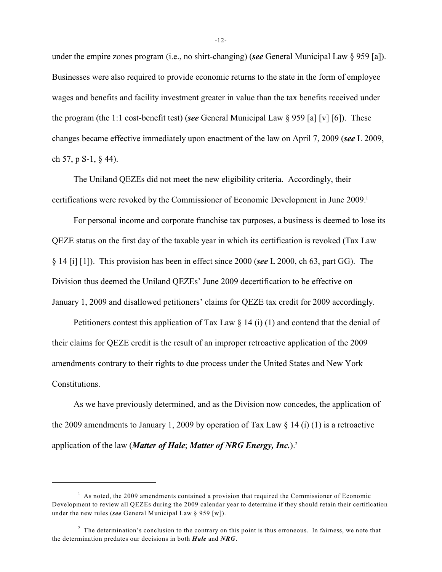under the empire zones program (i.e., no shirt-changing) (*see* General Municipal Law § 959 [a]). Businesses were also required to provide economic returns to the state in the form of employee wages and benefits and facility investment greater in value than the tax benefits received under the program (the 1:1 cost-benefit test) (*see* General Municipal Law § 959 [a] [v] [6]). These changes became effective immediately upon enactment of the law on April 7, 2009 (*see* L 2009, ch 57, p S-1, § 44).

The Uniland QEZEs did not meet the new eligibility criteria. Accordingly, their certifications were revoked by the Commissioner of Economic Development in June 2009.<sup>1</sup>

For personal income and corporate franchise tax purposes, a business is deemed to lose its QEZE status on the first day of the taxable year in which its certification is revoked (Tax Law § 14 [i] [1]). This provision has been in effect since 2000 (*see* L 2000, ch 63, part GG). The Division thus deemed the Uniland QEZEs' June 2009 decertification to be effective on January 1, 2009 and disallowed petitioners' claims for QEZE tax credit for 2009 accordingly.

Petitioners contest this application of Tax Law  $\S$  14 (i) (1) and contend that the denial of their claims for QEZE credit is the result of an improper retroactive application of the 2009 amendments contrary to their rights to due process under the United States and New York Constitutions.

As we have previously determined, and as the Division now concedes, the application of the 2009 amendments to January 1, 2009 by operation of Tax Law  $\S$  14 (i) (1) is a retroactive application of the law (*Matter of Hale*; *Matter of NRG Energy, Inc.*).<sup>2</sup>

 $<sup>1</sup>$  As noted, the 2009 amendments contained a provision that required the Commissioner of Economic</sup> Development to review all QEZEs during the 2009 calendar year to determine if they should retain their certification under the new rules (*see* General Municipal Law § 959 [w]).

<sup>&</sup>lt;sup>2</sup> The determination's conclusion to the contrary on this point is thus erroneous. In fairness, we note that the determination predates our decisions in both *Hale* and *NRG*.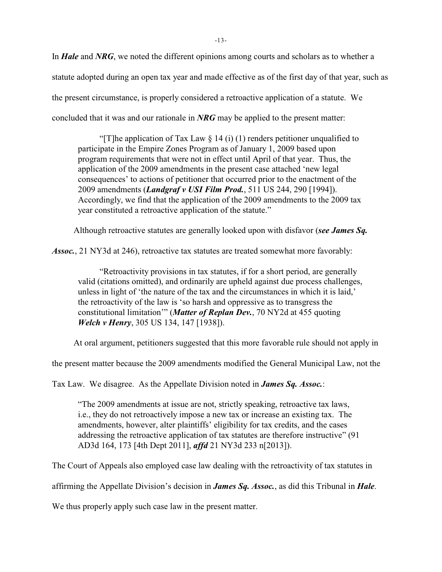In *Hale* and *NRG*, we noted the different opinions among courts and scholars as to whether a statute adopted during an open tax year and made effective as of the first day of that year, such as the present circumstance, is properly considered a retroactive application of a statute. We concluded that it was and our rationale in *NRG* may be applied to the present matter:

"[T]he application of Tax Law  $\S$  14 (i) (1) renders petitioner unqualified to participate in the Empire Zones Program as of January 1, 2009 based upon program requirements that were not in effect until April of that year. Thus, the application of the 2009 amendments in the present case attached 'new legal consequences' to actions of petitioner that occurred prior to the enactment of the 2009 amendments (*Landgraf v USI Film Prod.*, 511 US 244, 290 [1994]). Accordingly, we find that the application of the 2009 amendments to the 2009 tax year constituted a retroactive application of the statute."

Although retroactive statutes are generally looked upon with disfavor (*see James Sq.*

*Assoc.*, 21 NY3d at 246), retroactive tax statutes are treated somewhat more favorably:

"Retroactivity provisions in tax statutes, if for a short period, are generally valid (citations omitted), and ordinarily are upheld against due process challenges, unless in light of 'the nature of the tax and the circumstances in which it is laid,' the retroactivity of the law is 'so harsh and oppressive as to transgress the constitutional limitation'" (*Matter of Replan Dev.*, 70 NY2d at 455 quoting *Welch v Henry*, 305 US 134, 147 [1938]).

At oral argument, petitioners suggested that this more favorable rule should not apply in

the present matter because the 2009 amendments modified the General Municipal Law, not the

Tax Law. We disagree. As the Appellate Division noted in *James Sq. Assoc.*:

"The 2009 amendments at issue are not, strictly speaking, retroactive tax laws, i.e., they do not retroactively impose a new tax or increase an existing tax. The amendments, however, alter plaintiffs' eligibility for tax credits, and the cases addressing the retroactive application of tax statutes are therefore instructive" (91 AD3d 164, 173 [4th Dept 2011], *affd* 21 NY3d 233 n[2013]).

The Court of Appeals also employed case law dealing with the retroactivity of tax statutes in

affirming the Appellate Division's decision in *James Sq. Assoc.*, as did this Tribunal in *Hale*.

We thus properly apply such case law in the present matter.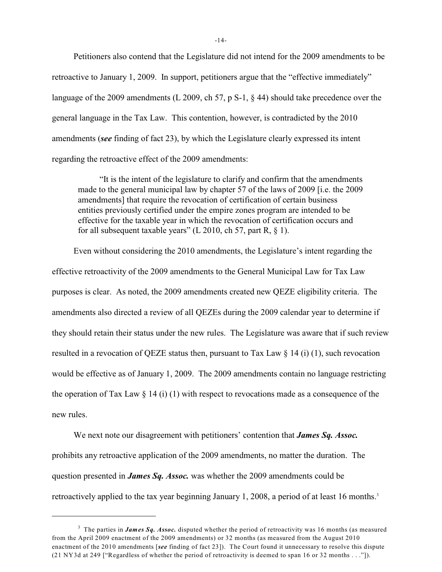Petitioners also contend that the Legislature did not intend for the 2009 amendments to be retroactive to January 1, 2009. In support, petitioners argue that the "effective immediately" language of the 2009 amendments (L 2009, ch 57, p S-1, § 44) should take precedence over the general language in the Tax Law. This contention, however, is contradicted by the 2010 amendments (*see* finding of fact 23), by which the Legislature clearly expressed its intent regarding the retroactive effect of the 2009 amendments:

"It is the intent of the legislature to clarify and confirm that the amendments made to the general municipal law by chapter 57 of the laws of 2009 [i.e. the 2009 amendments] that require the revocation of certification of certain business entities previously certified under the empire zones program are intended to be effective for the taxable year in which the revocation of certification occurs and for all subsequent taxable years" (L 2010, ch 57, part R,  $\S$  1).

Even without considering the 2010 amendments, the Legislature's intent regarding the effective retroactivity of the 2009 amendments to the General Municipal Law for Tax Law purposes is clear. As noted, the 2009 amendments created new QEZE eligibility criteria. The amendments also directed a review of all QEZEs during the 2009 calendar year to determine if they should retain their status under the new rules. The Legislature was aware that if such review resulted in a revocation of QEZE status then, pursuant to Tax Law § 14 (i) (1), such revocation would be effective as of January 1, 2009. The 2009 amendments contain no language restricting the operation of Tax Law  $\S 14$  (i) (1) with respect to revocations made as a consequence of the new rules.

We next note our disagreement with petitioners' contention that *James Sq. Assoc.* prohibits any retroactive application of the 2009 amendments, no matter the duration. The question presented in *James Sq. Assoc.* was whether the 2009 amendments could be retroactively applied to the tax year beginning January 1, 2008, a period of at least 16 months.<sup>3</sup>

-14-

<sup>&</sup>lt;sup>3</sup> The parties in *James Sq. Assoc.* disputed whether the period of retroactivity was 16 months (as measured from the April 2009 enactment of the 2009 amendments) or 32 months (as measured from the August 2010 enactment of the 2010 amendments [*see* finding of fact 23]). The Court found it unnecessary to resolve this dispute (21 NY3d at 249 ["Regardless of whether the period of retroactivity is deemed to span 16 or 32 months . . ."]).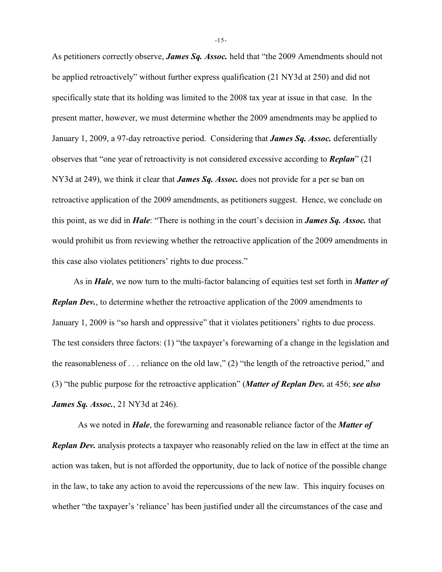As petitioners correctly observe, *James Sq. Assoc.* held that "the 2009 Amendments should not be applied retroactively" without further express qualification (21 NY3d at 250) and did not specifically state that its holding was limited to the 2008 tax year at issue in that case. In the present matter, however, we must determine whether the 2009 amendments may be applied to January 1, 2009, a 97-day retroactive period. Considering that *James Sq. Assoc.* deferentially observes that "one year of retroactivity is not considered excessive according to *Replan*" (21 NY3d at 249), we think it clear that *James Sq. Assoc.* does not provide for a per se ban on retroactive application of the 2009 amendments, as petitioners suggest. Hence, we conclude on this point, as we did in *Hale*: "There is nothing in the court's decision in *James Sq. Assoc.* that would prohibit us from reviewing whether the retroactive application of the 2009 amendments in this case also violates petitioners' rights to due process."

As in *Hale*, we now turn to the multi-factor balancing of equities test set forth in *Matter of Replan Dev.*, to determine whether the retroactive application of the 2009 amendments to January 1, 2009 is "so harsh and oppressive" that it violates petitioners' rights to due process. The test considers three factors: (1) "the taxpayer's forewarning of a change in the legislation and the reasonableness of . . . reliance on the old law," (2) "the length of the retroactive period," and (3) "the public purpose for the retroactive application" (*Matter of Replan Dev.* at 456; *see also James Sq. Assoc.*, 21 NY3d at 246).

As we noted in *Hale*, the forewarning and reasonable reliance factor of the *Matter of Replan Dev.* analysis protects a taxpayer who reasonably relied on the law in effect at the time an action was taken, but is not afforded the opportunity, due to lack of notice of the possible change in the law, to take any action to avoid the repercussions of the new law. This inquiry focuses on whether "the taxpayer's 'reliance' has been justified under all the circumstances of the case and

-15-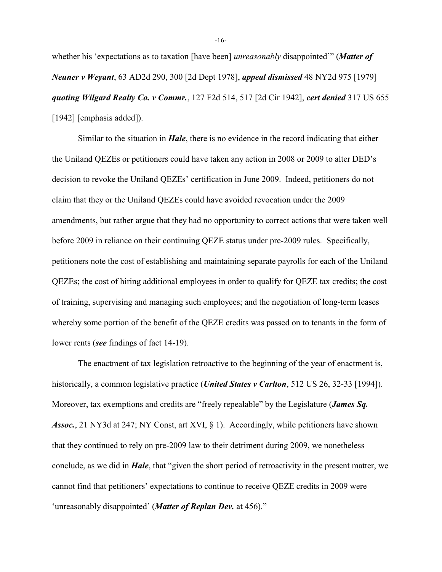whether his 'expectations as to taxation [have been] *unreasonably* disappointed'" (*Matter of Neuner v Weyant*, 63 AD2d 290, 300 [2d Dept 1978], *appeal dismissed* 48 NY2d 975 [1979] *quoting Wilgard Realty Co. v Commr.*, 127 F2d 514, 517 [2d Cir 1942], *cert denied* 317 US 655 [1942] [emphasis added]).

Similar to the situation in *Hale*, there is no evidence in the record indicating that either the Uniland QEZEs or petitioners could have taken any action in 2008 or 2009 to alter DED's decision to revoke the Uniland QEZEs' certification in June 2009. Indeed, petitioners do not claim that they or the Uniland QEZEs could have avoided revocation under the 2009 amendments, but rather argue that they had no opportunity to correct actions that were taken well before 2009 in reliance on their continuing QEZE status under pre-2009 rules. Specifically, petitioners note the cost of establishing and maintaining separate payrolls for each of the Uniland QEZEs; the cost of hiring additional employees in order to qualify for QEZE tax credits; the cost of training, supervising and managing such employees; and the negotiation of long-term leases whereby some portion of the benefit of the QEZE credits was passed on to tenants in the form of lower rents (*see* findings of fact 14-19).

The enactment of tax legislation retroactive to the beginning of the year of enactment is, historically, a common legislative practice (*United States v Carlton*, 512 US 26, 32-33 [1994]). Moreover, tax exemptions and credits are "freely repealable" by the Legislature (*James Sq. Assoc.*, 21 NY3d at 247; NY Const, art XVI, § 1). Accordingly, while petitioners have shown that they continued to rely on pre-2009 law to their detriment during 2009, we nonetheless conclude, as we did in *Hale*, that "given the short period of retroactivity in the present matter, we cannot find that petitioners' expectations to continue to receive QEZE credits in 2009 were 'unreasonably disappointed' (*Matter of Replan Dev.* at 456)."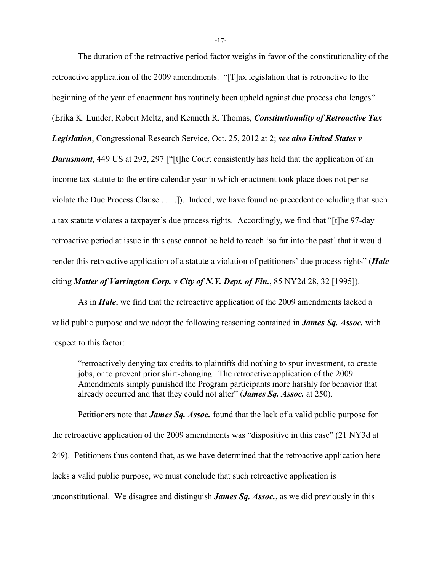The duration of the retroactive period factor weighs in favor of the constitutionality of the retroactive application of the 2009 amendments. "[T]ax legislation that is retroactive to the beginning of the year of enactment has routinely been upheld against due process challenges" (Erika K. Lunder, Robert Meltz, and Kenneth R. Thomas, *Constitutionality of Retroactive Tax Legislation*, Congressional Research Service, Oct. 25, 2012 at 2; *see also United States v* **Darusmont**, 449 US at 292, 297 ["[t]he Court consistently has held that the application of an income tax statute to the entire calendar year in which enactment took place does not per se violate the Due Process Clause . . . .]). Indeed, we have found no precedent concluding that such a tax statute violates a taxpayer's due process rights. Accordingly, we find that "[t]he 97-day retroactive period at issue in this case cannot be held to reach 'so far into the past' that it would render this retroactive application of a statute a violation of petitioners' due process rights" (*Hale* citing *Matter of Varrington Corp. v City of N.Y. Dept. of Fin.*, 85 NY2d 28, 32 [1995]).

As in *Hale*, we find that the retroactive application of the 2009 amendments lacked a valid public purpose and we adopt the following reasoning contained in *James Sq. Assoc.* with respect to this factor:

"retroactively denying tax credits to plaintiffs did nothing to spur investment, to create jobs, or to prevent prior shirt-changing. The retroactive application of the 2009 Amendments simply punished the Program participants more harshly for behavior that already occurred and that they could not alter" (*James Sq. Assoc.* at 250).

Petitioners note that *James Sq. Assoc.* found that the lack of a valid public purpose for the retroactive application of the 2009 amendments was "dispositive in this case" (21 NY3d at 249). Petitioners thus contend that, as we have determined that the retroactive application here lacks a valid public purpose, we must conclude that such retroactive application is unconstitutional. We disagree and distinguish *James Sq. Assoc.*, as we did previously in this

-17-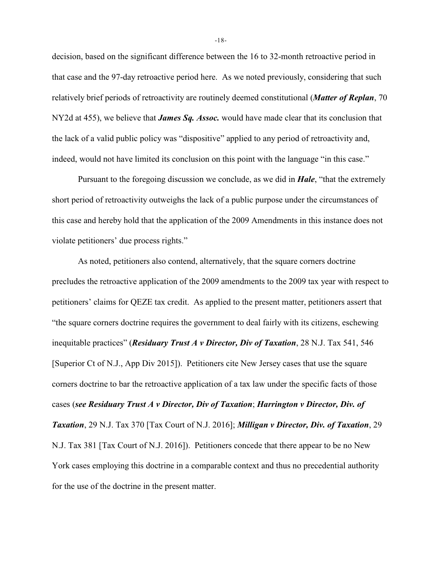decision, based on the significant difference between the 16 to 32-month retroactive period in that case and the 97-day retroactive period here. As we noted previously, considering that such relatively brief periods of retroactivity are routinely deemed constitutional (*Matter of Replan*, 70 NY2d at 455), we believe that *James Sq. Assoc.* would have made clear that its conclusion that the lack of a valid public policy was "dispositive" applied to any period of retroactivity and, indeed, would not have limited its conclusion on this point with the language "in this case."

Pursuant to the foregoing discussion we conclude, as we did in *Hale*, "that the extremely short period of retroactivity outweighs the lack of a public purpose under the circumstances of this case and hereby hold that the application of the 2009 Amendments in this instance does not violate petitioners' due process rights."

As noted, petitioners also contend, alternatively, that the square corners doctrine precludes the retroactive application of the 2009 amendments to the 2009 tax year with respect to petitioners' claims for QEZE tax credit. As applied to the present matter, petitioners assert that "the square corners doctrine requires the government to deal fairly with its citizens, eschewing inequitable practices" (*Residuary Trust A v Director, Div of Taxation*, 28 N.J. Tax 541, 546 [Superior Ct of N.J., App Div 2015]). Petitioners cite New Jersey cases that use the square corners doctrine to bar the retroactive application of a tax law under the specific facts of those cases (*see Residuary Trust A v Director, Div of Taxation*; *Harrington v Director, Div. of Taxation*, 29 N.J. Tax 370 [Tax Court of N.J. 2016]; *Milligan v Director, Div. of Taxation*, 29 N.J. Tax 381 [Tax Court of N.J. 2016]). Petitioners concede that there appear to be no New York cases employing this doctrine in a comparable context and thus no precedential authority for the use of the doctrine in the present matter.

-18-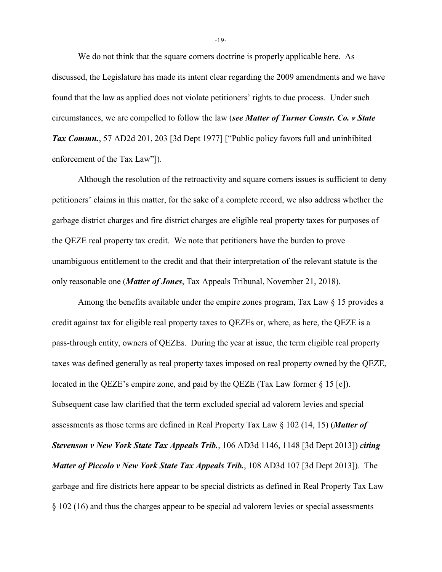We do not think that the square corners doctrine is properly applicable here. As discussed, the Legislature has made its intent clear regarding the 2009 amendments and we have found that the law as applied does not violate petitioners' rights to due process. Under such circumstances, we are compelled to follow the law (*see Matter of Turner Constr. Co. v State Tax Commn.*, 57 AD2d 201, 203 [3d Dept 1977] ["Public policy favors full and uninhibited enforcement of the Tax Law"]).

Although the resolution of the retroactivity and square corners issues is sufficient to deny petitioners' claims in this matter, for the sake of a complete record, we also address whether the garbage district charges and fire district charges are eligible real property taxes for purposes of the QEZE real property tax credit. We note that petitioners have the burden to prove unambiguous entitlement to the credit and that their interpretation of the relevant statute is the only reasonable one (*Matter of Jones*, Tax Appeals Tribunal, November 21, 2018).

Among the benefits available under the empire zones program, Tax Law § 15 provides a credit against tax for eligible real property taxes to QEZEs or, where, as here, the QEZE is a pass-through entity, owners of QEZEs. During the year at issue, the term eligible real property taxes was defined generally as real property taxes imposed on real property owned by the QEZE, located in the QEZE's empire zone, and paid by the QEZE (Tax Law former  $\S$  15 [e]). Subsequent case law clarified that the term excluded special ad valorem levies and special assessments as those terms are defined in Real Property Tax Law § 102 (14, 15) (*Matter of Stevenson v New York State Tax Appeals Trib.*, 106 AD3d 1146, 1148 [3d Dept 2013]) *citing Matter of Piccolo v New York State Tax Appeals Trib.*, 108 AD3d 107 [3d Dept 2013]). The garbage and fire districts here appear to be special districts as defined in Real Property Tax Law § 102 (16) and thus the charges appear to be special ad valorem levies or special assessments

-19-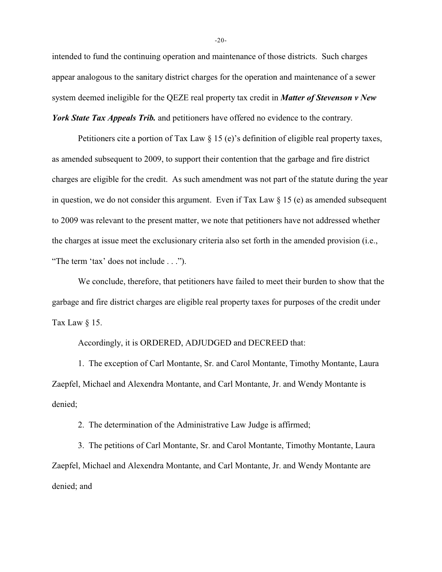intended to fund the continuing operation and maintenance of those districts. Such charges appear analogous to the sanitary district charges for the operation and maintenance of a sewer system deemed ineligible for the QEZE real property tax credit in *Matter of Stevenson v New York State Tax Appeals Trib.* and petitioners have offered no evidence to the contrary.

Petitioners cite a portion of Tax Law § 15 (e)'s definition of eligible real property taxes, as amended subsequent to 2009, to support their contention that the garbage and fire district charges are eligible for the credit. As such amendment was not part of the statute during the year in question, we do not consider this argument. Even if Tax Law § 15 (e) as amended subsequent to 2009 was relevant to the present matter, we note that petitioners have not addressed whether the charges at issue meet the exclusionary criteria also set forth in the amended provision (i.e., "The term 'tax' does not include . . .").

We conclude, therefore, that petitioners have failed to meet their burden to show that the garbage and fire district charges are eligible real property taxes for purposes of the credit under Tax Law  $\S$  15.

Accordingly, it is ORDERED, ADJUDGED and DECREED that:

1. The exception of Carl Montante, Sr. and Carol Montante, Timothy Montante, Laura Zaepfel, Michael and Alexendra Montante, and Carl Montante, Jr. and Wendy Montante is denied;

2. The determination of the Administrative Law Judge is affirmed;

3. The petitions of Carl Montante, Sr. and Carol Montante, Timothy Montante, Laura Zaepfel, Michael and Alexendra Montante, and Carl Montante, Jr. and Wendy Montante are denied; and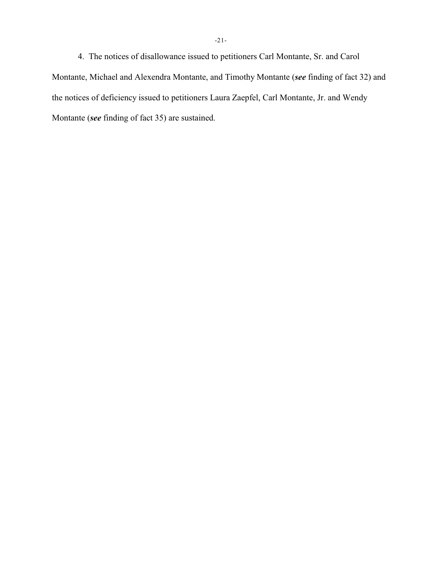4. The notices of disallowance issued to petitioners Carl Montante, Sr. and Carol Montante, Michael and Alexendra Montante, and Timothy Montante (*see* finding of fact 32) and the notices of deficiency issued to petitioners Laura Zaepfel, Carl Montante, Jr. and Wendy Montante (*see* finding of fact 35) are sustained.